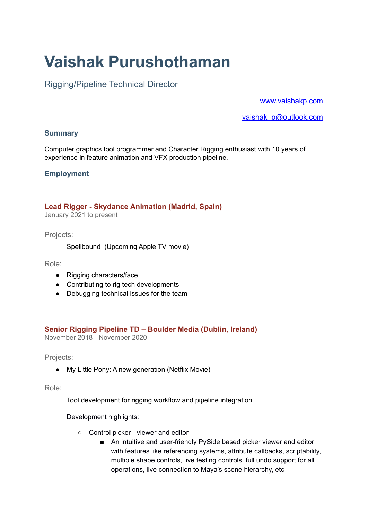# **Vaishak Purushothaman**

# Rigging/Pipeline Technical Director

[www.vaishakp.com](http://www.vaishakp.com/)

vaishak\_p@outlook.com

# **Summary**

Computer graphics tool programmer and Character Rigging enthusiast with 10 years of experience in feature animation and VFX production pipeline.

# **Employment**

**Lead Rigger - Skydance Animation (Madrid, Spain)** January 2021 to present

Projects:

Spellbound (Upcoming Apple TV movie)

Role:

- Rigging characters/face
- Contributing to rig tech developments
- Debugging technical issues for the team

# **Senior Rigging Pipeline TD – Boulder Media (Dublin, Ireland)**

November 2018 - November 2020

Projects:

● My Little Pony: A new generation (Netflix Movie)

Role:

Tool development for rigging workflow and pipeline integration.

Development highlights:

- Control picker viewer and editor
	- An intuitive and user-friendly PySide based picker viewer and editor with features like referencing systems, attribute callbacks, scriptability, multiple shape controls, live testing controls, full undo support for all operations, live connection to Maya's scene hierarchy, etc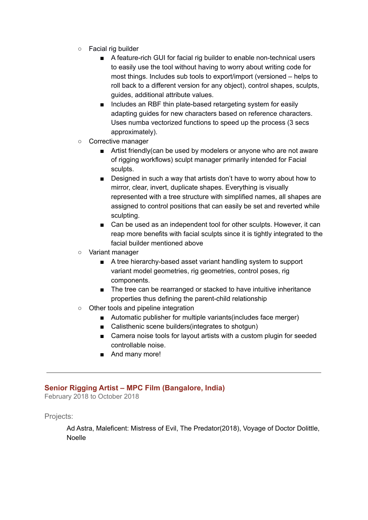- Facial rig builder
	- A feature-rich GUI for facial rig builder to enable non-technical users to easily use the tool without having to worry about writing code for most things. Includes sub tools to export/import (versioned – helps to roll back to a different version for any object), control shapes, sculpts, guides, additional attribute values.
	- Includes an RBF thin plate-based retargeting system for easily adapting guides for new characters based on reference characters. Uses numba vectorized functions to speed up the process (3 secs approximately).
- Corrective manager
	- Artist friendly(can be used by modelers or anyone who are not aware of rigging workflows) sculpt manager primarily intended for Facial sculpts.
	- Designed in such a way that artists don't have to worry about how to mirror, clear, invert, duplicate shapes. Everything is visually represented with a tree structure with simplified names, all shapes are assigned to control positions that can easily be set and reverted while sculpting.
	- Can be used as an independent tool for other sculpts. However, it can reap more benefits with facial sculpts since it is tightly integrated to the facial builder mentioned above
- Variant manager
	- A tree hierarchy-based asset variant handling system to support variant model geometries, rig geometries, control poses, rig components.
	- The tree can be rearranged or stacked to have intuitive inheritance properties thus defining the parent-child relationship
- Other tools and pipeline integration
	- Automatic publisher for multiple variants(includes face merger)
	- Calisthenic scene builders(integrates to shotgun)
	- Camera noise tools for layout artists with a custom plugin for seeded controllable noise.
	- And many more!

# **Senior Rigging Artist – MPC Film (Bangalore, India)**

February 2018 to October 2018

Projects:

Ad Astra, Maleficent: Mistress of Evil, The Predator(2018), Voyage of Doctor Dolittle, Noelle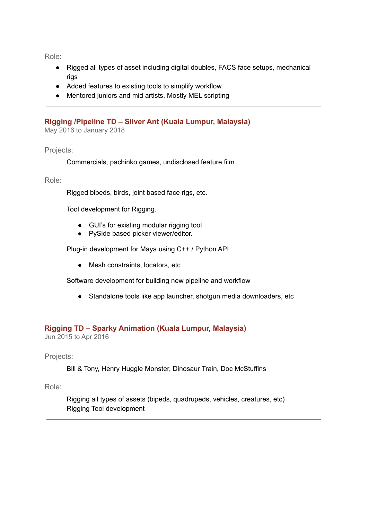Role:

- Rigged all types of asset including digital doubles, FACS face setups, mechanical rigs
- Added features to existing tools to simplify workflow.
- Mentored juniors and mid artists. Mostly MEL scripting

## **Rigging /Pipeline TD – Silver Ant (Kuala Lumpur, Malaysia)**

May 2016 to January 2018

Projects:

Commercials, pachinko games, undisclosed feature film

Role:

Rigged bipeds, birds, joint based face rigs, etc.

Tool development for Rigging.

- GUI's for existing modular rigging tool
- PySide based picker viewer/editor.

Plug-in development for Maya using C++ / Python API

● Mesh constraints, locators, etc

Software development for building new pipeline and workflow

● Standalone tools like app launcher, shotgun media downloaders, etc

# **Rigging TD – Sparky Animation (Kuala Lumpur, Malaysia)**

Jun 2015 to Apr 2016

Projects:

Bill & Tony, Henry Huggle Monster, Dinosaur Train, Doc McStuffins

Role:

Rigging all types of assets (bipeds, quadrupeds, vehicles, creatures, etc) Rigging Tool development